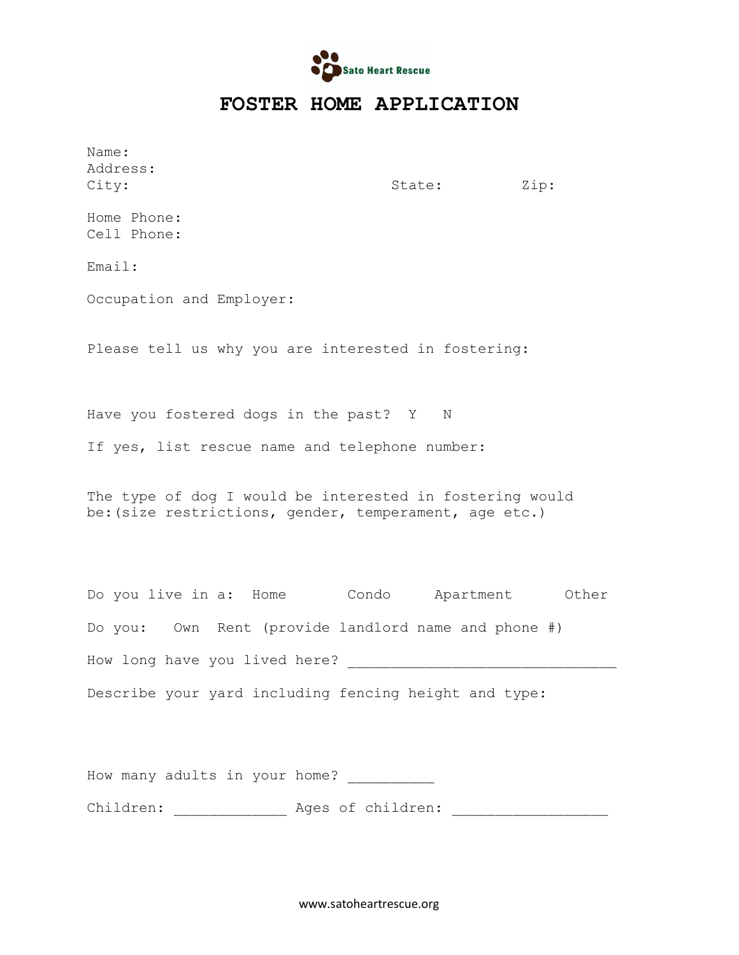

## **FOSTER HOME APPLICATION**

Name: Address:

City:  $City:$  State:  $Zip:$ 

Home Phone: Cell Phone:

Email:

Occupation and Employer:

Please tell us why you are interested in fostering:

Have you fostered dogs in the past? Y N

If yes, list rescue name and telephone number:

The type of dog I would be interested in fostering would be:(size restrictions, gender, temperament, age etc.)

| Do you live in a: Home        |  |  |                                                       | Condo |  |  |  | Apartment Other |
|-------------------------------|--|--|-------------------------------------------------------|-------|--|--|--|-----------------|
|                               |  |  | Do you: Own Rent (provide landlord name and phone #)  |       |  |  |  |                 |
| How long have you lived here? |  |  |                                                       |       |  |  |  |                 |
|                               |  |  | Describe your yard including fencing height and type: |       |  |  |  |                 |

How many adults in your home? \_\_\_\_\_\_\_\_\_\_

Children: \_\_\_\_\_\_\_\_\_\_\_\_\_ Ages of children: \_\_\_\_\_\_\_\_\_\_\_\_\_\_\_\_\_\_